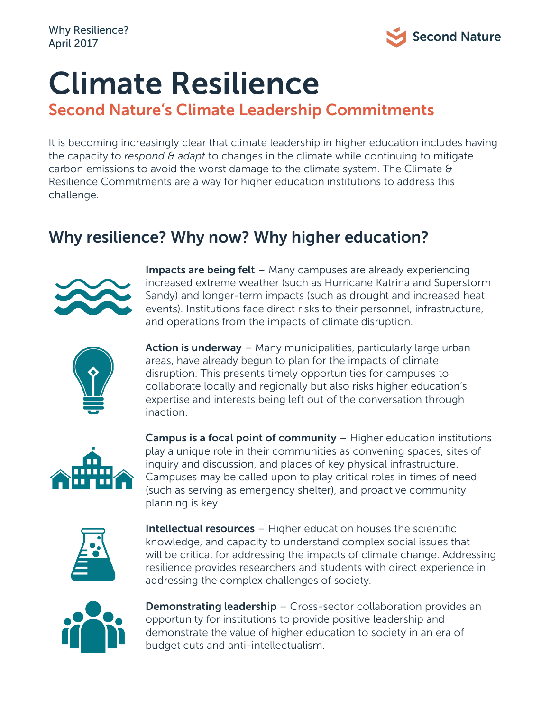

# Climate Resilience

#### Second Nature's Climate Leadership Commitments

It is becoming increasingly clear that climate leadership in higher education includes having the capacity to *respond & adapt* to changes in the climate while continuing to mitigate carbon emissions to avoid the worst damage to the climate system. The Climate  $\theta$ Resilience Commitments are a way for higher education institutions to address this challenge.

### Why resilience? Why now? Why higher education?



Impacts are being felt – Many campuses are already experiencing increased extreme weather (such as Hurricane Katrina and Superstorm Sandy) and longer-term impacts (such as drought and increased heat events). Institutions face direct risks to their personnel, infrastructure, and operations from the impacts of climate disruption.



Action is underway – Many municipalities, particularly large urban areas, have already begun to plan for the impacts of climate disruption. This presents timely opportunities for campuses to collaborate locally and regionally but also risks higher education's expertise and interests being left out of the conversation through inaction.



 Campus is a focal point of community – Higher education institutions play a unique role in their communities as convening spaces, sites of inquiry and discussion, and places of key physical infrastructure. Campuses may be called upon to play critical roles in times of need (such as serving as emergency shelter), and proactive community planning is key.



Intellectual resources – Higher education houses the scientific knowledge, and capacity to understand complex social issues that will be critical for addressing the impacts of climate change. Addressing resilience provides researchers and students with direct experience in addressing the complex challenges of society.



**Demonstrating leadership** – Cross-sector collaboration provides an opportunity for institutions to provide positive leadership and demonstrate the value of higher education to society in an era of budget cuts and anti-intellectualism.